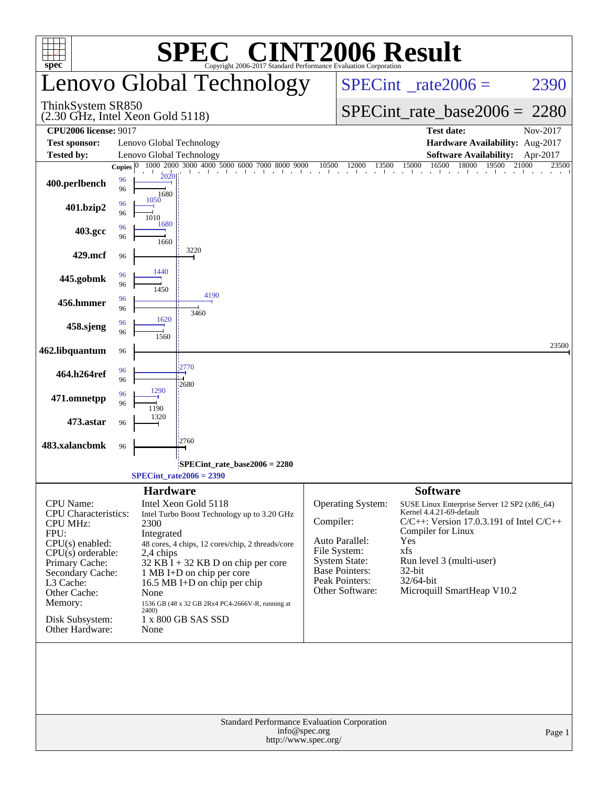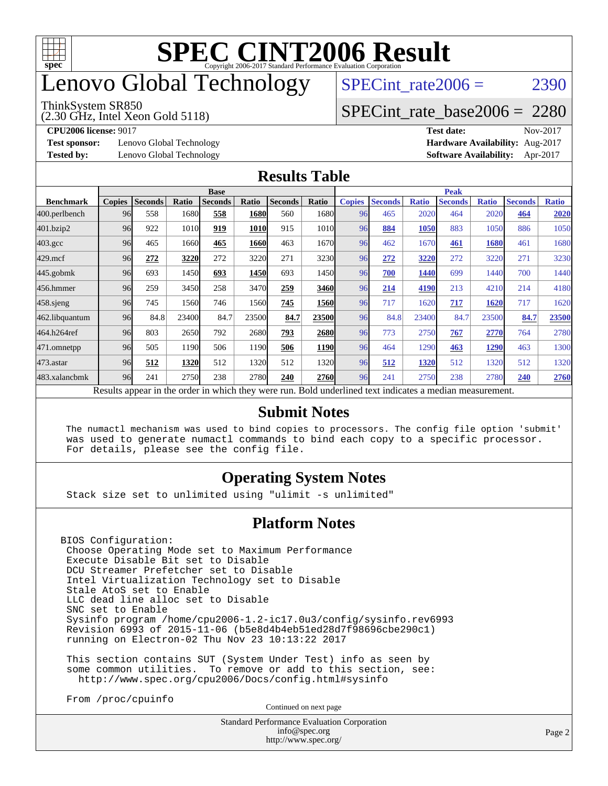

# enovo Global Technology

#### ThinkSystem SR850

(2.30 GHz, Intel Xeon Gold 5118)

SPECint rate $2006 = 2390$ 

### [SPECint\\_rate\\_base2006 =](http://www.spec.org/auto/cpu2006/Docs/result-fields.html#SPECintratebase2006) 2280

**[Test sponsor:](http://www.spec.org/auto/cpu2006/Docs/result-fields.html#Testsponsor)** Lenovo Global Technology **[Hardware Availability:](http://www.spec.org/auto/cpu2006/Docs/result-fields.html#HardwareAvailability)** Aug-2017

**[CPU2006 license:](http://www.spec.org/auto/cpu2006/Docs/result-fields.html#CPU2006license)** 9017 **[Test date:](http://www.spec.org/auto/cpu2006/Docs/result-fields.html#Testdate)** Nov-2017 **[Tested by:](http://www.spec.org/auto/cpu2006/Docs/result-fields.html#Testedby)** Lenovo Global Technology **[Software Availability:](http://www.spec.org/auto/cpu2006/Docs/result-fields.html#SoftwareAvailability)** Apr-2017

### **[Results Table](http://www.spec.org/auto/cpu2006/Docs/result-fields.html#ResultsTable)**

|                    | <b>Base</b>   |                |       |                |       |                |       | <b>Peak</b>   |                |              |                                                                                                          |              |                |              |
|--------------------|---------------|----------------|-------|----------------|-------|----------------|-------|---------------|----------------|--------------|----------------------------------------------------------------------------------------------------------|--------------|----------------|--------------|
| <b>Benchmark</b>   | <b>Copies</b> | <b>Seconds</b> | Ratio | <b>Seconds</b> | Ratio | <b>Seconds</b> | Ratio | <b>Copies</b> | <b>Seconds</b> | <b>Ratio</b> | <b>Seconds</b>                                                                                           | <b>Ratio</b> | <b>Seconds</b> | <b>Ratio</b> |
| 400.perlbench      | 96            | 558            | 1680  | 558            | 1680  | 560            | 1680  | 96            | 465            | 2020         | 464                                                                                                      | 2020         | 464            | 2020         |
| 401.bzip2          | 96            | 922            | 1010  | 919            | 1010  | 915            | 1010  | 96            | 884            | 1050         | 883                                                                                                      | 1050         | 886            | 1050         |
| $403.\mathrm{gcc}$ | 96            | 465            | 1660  | 465            | 1660  | 463            | 1670  | 96            | 462            | 1670         | 461                                                                                                      | 1680         | 461            | 1680         |
| $429$ .mcf         | 96            | 272            | 3220  | 272            | 3220  | 271            | 3230  | 96            | 272            | 3220         | 272                                                                                                      | 3220         | 271            | 3230         |
| $445$ .gobmk       | 96            | 693            | 1450  | 693            | 1450  | 693            | 1450  | 96            | 700            | 1440         | 699                                                                                                      | 1440         | 700            | 1440         |
| 456.hmmer          | 96            | 259            | 3450  | 258            | 3470  | 259            | 3460  | 96            | 214            | 4190         | 213                                                                                                      | 4210         | 214            | 4180         |
| $458$ .sjeng       | 96            | 745            | 1560  | 746            | 1560  | 745            | 1560  | 96            | 717            | 1620         | 717                                                                                                      | 1620         | 717            | 1620         |
| 462.libquantum     | 96            | 84.8           | 23400 | 84.7           | 23500 | 84.7           | 23500 | 96            | 84.8           | 23400        | 84.7                                                                                                     | 23500        | 84.7           | 23500        |
| 464.h264ref        | 96            | 803            | 2650  | 792            | 2680  | 793            | 2680  | 96            | 773            | 2750         | 767                                                                                                      | 2770         | 764            | 2780         |
| 471.omnetpp        | 96            | 505            | 1190  | 506            | 1190  | 506            | 1190  | 96            | 464            | 1290         | 463                                                                                                      | 1290         | 463            | 1300         |
| 473.astar          | 96            | 512            | 1320  | 512            | 1320  | 512            | 1320  | 96            | 512            | 1320         | 512                                                                                                      | 1320         | 512            | 1320         |
| 483.xalancbmk      | 96            | 241            | 2750  | 238            | 2780  | 240            | 2760  | 96            | 241            | 2750         | 238                                                                                                      | 2780         | 240            | 2760         |
|                    |               |                |       |                |       |                |       |               |                |              | Results appear in the order in which they were run. Bold underlined text indicates a median measurement. |              |                |              |

### **[Submit Notes](http://www.spec.org/auto/cpu2006/Docs/result-fields.html#SubmitNotes)**

 The numactl mechanism was used to bind copies to processors. The config file option 'submit' was used to generate numactl commands to bind each copy to a specific processor. For details, please see the config file.

### **[Operating System Notes](http://www.spec.org/auto/cpu2006/Docs/result-fields.html#OperatingSystemNotes)**

Stack size set to unlimited using "ulimit -s unlimited"

### **[Platform Notes](http://www.spec.org/auto/cpu2006/Docs/result-fields.html#PlatformNotes)**

BIOS Configuration: Choose Operating Mode set to Maximum Performance Execute Disable Bit set to Disable DCU Streamer Prefetcher set to Disable Intel Virtualization Technology set to Disable Stale AtoS set to Enable LLC dead line alloc set to Disable SNC set to Enable Sysinfo program /home/cpu2006-1.2-ic17.0u3/config/sysinfo.rev6993 Revision 6993 of 2015-11-06 (b5e8d4b4eb51ed28d7f98696cbe290c1) running on Electron-02 Thu Nov 23 10:13:22 2017

 This section contains SUT (System Under Test) info as seen by some common utilities. To remove or add to this section, see: <http://www.spec.org/cpu2006/Docs/config.html#sysinfo>

From /proc/cpuinfo

Continued on next page

Standard Performance Evaluation Corporation [info@spec.org](mailto:info@spec.org) <http://www.spec.org/>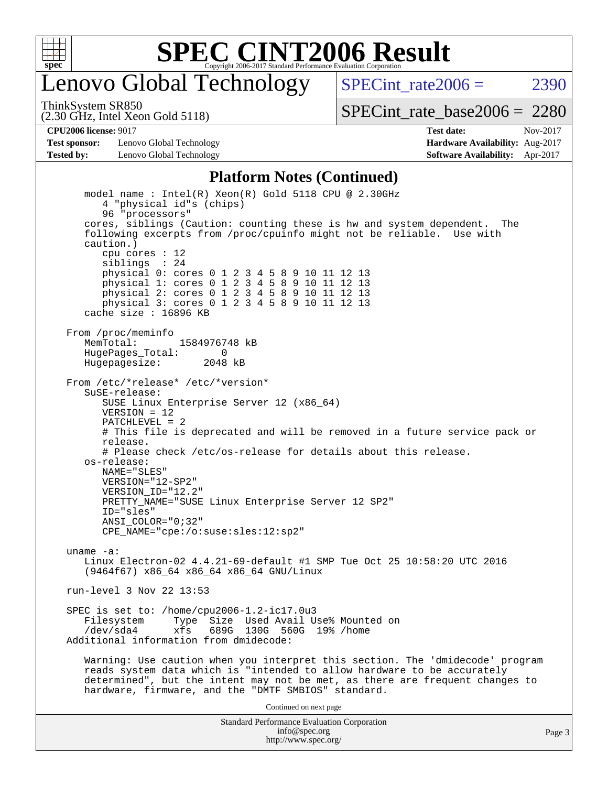

## enovo Global Technology

SPECint rate  $2006 = 2390$ 

(2.30 GHz, Intel Xeon Gold 5118) ThinkSystem SR850

[SPECint\\_rate\\_base2006 =](http://www.spec.org/auto/cpu2006/Docs/result-fields.html#SPECintratebase2006) 2280

**[Test sponsor:](http://www.spec.org/auto/cpu2006/Docs/result-fields.html#Testsponsor)** Lenovo Global Technology **[Hardware Availability:](http://www.spec.org/auto/cpu2006/Docs/result-fields.html#HardwareAvailability)** Aug-2017 **[Tested by:](http://www.spec.org/auto/cpu2006/Docs/result-fields.html#Testedby)** Lenovo Global Technology **[Software Availability:](http://www.spec.org/auto/cpu2006/Docs/result-fields.html#SoftwareAvailability)** Apr-2017

**[CPU2006 license:](http://www.spec.org/auto/cpu2006/Docs/result-fields.html#CPU2006license)** 9017 **[Test date:](http://www.spec.org/auto/cpu2006/Docs/result-fields.html#Testdate)** Nov-2017

#### **[Platform Notes \(Continued\)](http://www.spec.org/auto/cpu2006/Docs/result-fields.html#PlatformNotes)**

Standard Performance Evaluation Corporation [info@spec.org](mailto:info@spec.org) model name : Intel(R) Xeon(R) Gold 5118 CPU @ 2.30GHz 4 "physical id"s (chips) 96 "processors" cores, siblings (Caution: counting these is hw and system dependent. The following excerpts from /proc/cpuinfo might not be reliable. Use with caution.) cpu cores : 12 siblings : 24 physical 0: cores 0 1 2 3 4 5 8 9 10 11 12 13 physical 1: cores 0 1 2 3 4 5 8 9 10 11 12 13 physical 2: cores 0 1 2 3 4 5 8 9 10 11 12 13 physical 3: cores 0 1 2 3 4 5 8 9 10 11 12 13 cache size : 16896 KB From /proc/meminfo MemTotal: 1584976748 kB HugePages\_Total: 0 Hugepagesize: 2048 kB From /etc/\*release\* /etc/\*version\* SuSE-release: SUSE Linux Enterprise Server 12 (x86\_64)  $VFRSTON = 12$  PATCHLEVEL = 2 # This file is deprecated and will be removed in a future service pack or release. # Please check /etc/os-release for details about this release. os-release: NAME="SLES" VERSION="12-SP2" VERSION\_ID="12.2" PRETTY\_NAME="SUSE Linux Enterprise Server 12 SP2" ID="sles" ANSI\_COLOR="0;32" CPE\_NAME="cpe:/o:suse:sles:12:sp2" uname -a: Linux Electron-02 4.4.21-69-default #1 SMP Tue Oct 25 10:58:20 UTC 2016 (9464f67) x86\_64 x86\_64 x86\_64 GNU/Linux run-level 3 Nov 22 13:53 SPEC is set to: /home/cpu2006-1.2-ic17.0u3 Type Size Used Avail Use% Mounted on /dev/sda4 xfs 689G 130G 560G 19% /home Additional information from dmidecode: Warning: Use caution when you interpret this section. The 'dmidecode' program reads system data which is "intended to allow hardware to be accurately determined", but the intent may not be met, as there are frequent changes to hardware, firmware, and the "DMTF SMBIOS" standard. Continued on next page

<http://www.spec.org/>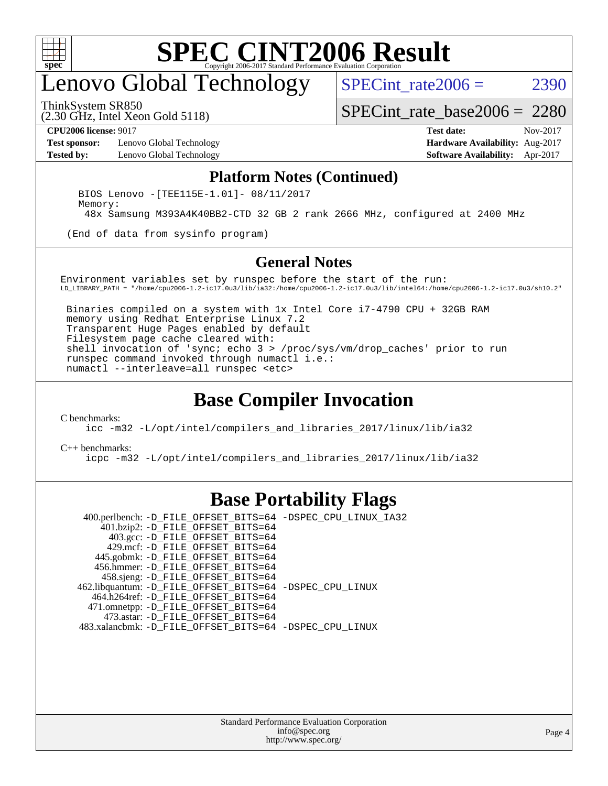

## enovo Global Technology

SPECint rate $2006 = 2390$ 

ThinkSystem SR850

(2.30 GHz, Intel Xeon Gold 5118)

[SPECint\\_rate\\_base2006 =](http://www.spec.org/auto/cpu2006/Docs/result-fields.html#SPECintratebase2006) 2280

**[Test sponsor:](http://www.spec.org/auto/cpu2006/Docs/result-fields.html#Testsponsor)** Lenovo Global Technology **[Hardware Availability:](http://www.spec.org/auto/cpu2006/Docs/result-fields.html#HardwareAvailability)** Aug-2017

**[CPU2006 license:](http://www.spec.org/auto/cpu2006/Docs/result-fields.html#CPU2006license)** 9017 **[Test date:](http://www.spec.org/auto/cpu2006/Docs/result-fields.html#Testdate)** Nov-2017 **[Tested by:](http://www.spec.org/auto/cpu2006/Docs/result-fields.html#Testedby)** Lenovo Global Technology **[Software Availability:](http://www.spec.org/auto/cpu2006/Docs/result-fields.html#SoftwareAvailability)** Apr-2017

#### **[Platform Notes \(Continued\)](http://www.spec.org/auto/cpu2006/Docs/result-fields.html#PlatformNotes)**

 BIOS Lenovo -[TEE115E-1.01]- 08/11/2017 Memory: 48x Samsung M393A4K40BB2-CTD 32 GB 2 rank 2666 MHz, configured at 2400 MHz

(End of data from sysinfo program)

#### **[General Notes](http://www.spec.org/auto/cpu2006/Docs/result-fields.html#GeneralNotes)**

Environment variables set by runspec before the start of the run: LD\_LIBRARY\_PATH = "/home/cpu2006-1.2-ic17.0u3/lib/ia32:/home/cpu2006-1.2-ic17.0u3/lib/intel64:/home/cpu2006-1.2-ic17.0u3/sh10.2"

 Binaries compiled on a system with 1x Intel Core i7-4790 CPU + 32GB RAM memory using Redhat Enterprise Linux 7.2 Transparent Huge Pages enabled by default Filesystem page cache cleared with: shell invocation of 'sync; echo 3 > /proc/sys/vm/drop\_caches' prior to run runspec command invoked through numactl i.e.: numactl --interleave=all runspec <etc>

### **[Base Compiler Invocation](http://www.spec.org/auto/cpu2006/Docs/result-fields.html#BaseCompilerInvocation)**

[C benchmarks](http://www.spec.org/auto/cpu2006/Docs/result-fields.html#Cbenchmarks):

[icc -m32 -L/opt/intel/compilers\\_and\\_libraries\\_2017/linux/lib/ia32](http://www.spec.org/cpu2006/results/res2017q4/cpu2006-20171211-51093.flags.html#user_CCbase_intel_icc_c29f3ff5a7ed067b11e4ec10a03f03ae)

[C++ benchmarks:](http://www.spec.org/auto/cpu2006/Docs/result-fields.html#CXXbenchmarks)

[icpc -m32 -L/opt/intel/compilers\\_and\\_libraries\\_2017/linux/lib/ia32](http://www.spec.org/cpu2006/results/res2017q4/cpu2006-20171211-51093.flags.html#user_CXXbase_intel_icpc_8c35c7808b62dab9ae41a1aa06361b6b)

### **[Base Portability Flags](http://www.spec.org/auto/cpu2006/Docs/result-fields.html#BasePortabilityFlags)**

 400.perlbench: [-D\\_FILE\\_OFFSET\\_BITS=64](http://www.spec.org/cpu2006/results/res2017q4/cpu2006-20171211-51093.flags.html#user_basePORTABILITY400_perlbench_file_offset_bits_64_438cf9856305ebd76870a2c6dc2689ab) [-DSPEC\\_CPU\\_LINUX\\_IA32](http://www.spec.org/cpu2006/results/res2017q4/cpu2006-20171211-51093.flags.html#b400.perlbench_baseCPORTABILITY_DSPEC_CPU_LINUX_IA32) 401.bzip2: [-D\\_FILE\\_OFFSET\\_BITS=64](http://www.spec.org/cpu2006/results/res2017q4/cpu2006-20171211-51093.flags.html#user_basePORTABILITY401_bzip2_file_offset_bits_64_438cf9856305ebd76870a2c6dc2689ab) 403.gcc: [-D\\_FILE\\_OFFSET\\_BITS=64](http://www.spec.org/cpu2006/results/res2017q4/cpu2006-20171211-51093.flags.html#user_basePORTABILITY403_gcc_file_offset_bits_64_438cf9856305ebd76870a2c6dc2689ab) 429.mcf: [-D\\_FILE\\_OFFSET\\_BITS=64](http://www.spec.org/cpu2006/results/res2017q4/cpu2006-20171211-51093.flags.html#user_basePORTABILITY429_mcf_file_offset_bits_64_438cf9856305ebd76870a2c6dc2689ab) 445.gobmk: [-D\\_FILE\\_OFFSET\\_BITS=64](http://www.spec.org/cpu2006/results/res2017q4/cpu2006-20171211-51093.flags.html#user_basePORTABILITY445_gobmk_file_offset_bits_64_438cf9856305ebd76870a2c6dc2689ab) 456.hmmer: [-D\\_FILE\\_OFFSET\\_BITS=64](http://www.spec.org/cpu2006/results/res2017q4/cpu2006-20171211-51093.flags.html#user_basePORTABILITY456_hmmer_file_offset_bits_64_438cf9856305ebd76870a2c6dc2689ab) 458.sjeng: [-D\\_FILE\\_OFFSET\\_BITS=64](http://www.spec.org/cpu2006/results/res2017q4/cpu2006-20171211-51093.flags.html#user_basePORTABILITY458_sjeng_file_offset_bits_64_438cf9856305ebd76870a2c6dc2689ab) 462.libquantum: [-D\\_FILE\\_OFFSET\\_BITS=64](http://www.spec.org/cpu2006/results/res2017q4/cpu2006-20171211-51093.flags.html#user_basePORTABILITY462_libquantum_file_offset_bits_64_438cf9856305ebd76870a2c6dc2689ab) [-DSPEC\\_CPU\\_LINUX](http://www.spec.org/cpu2006/results/res2017q4/cpu2006-20171211-51093.flags.html#b462.libquantum_baseCPORTABILITY_DSPEC_CPU_LINUX) 464.h264ref: [-D\\_FILE\\_OFFSET\\_BITS=64](http://www.spec.org/cpu2006/results/res2017q4/cpu2006-20171211-51093.flags.html#user_basePORTABILITY464_h264ref_file_offset_bits_64_438cf9856305ebd76870a2c6dc2689ab) 471.omnetpp: [-D\\_FILE\\_OFFSET\\_BITS=64](http://www.spec.org/cpu2006/results/res2017q4/cpu2006-20171211-51093.flags.html#user_basePORTABILITY471_omnetpp_file_offset_bits_64_438cf9856305ebd76870a2c6dc2689ab) 473.astar: [-D\\_FILE\\_OFFSET\\_BITS=64](http://www.spec.org/cpu2006/results/res2017q4/cpu2006-20171211-51093.flags.html#user_basePORTABILITY473_astar_file_offset_bits_64_438cf9856305ebd76870a2c6dc2689ab) 483.xalancbmk: [-D\\_FILE\\_OFFSET\\_BITS=64](http://www.spec.org/cpu2006/results/res2017q4/cpu2006-20171211-51093.flags.html#user_basePORTABILITY483_xalancbmk_file_offset_bits_64_438cf9856305ebd76870a2c6dc2689ab) [-DSPEC\\_CPU\\_LINUX](http://www.spec.org/cpu2006/results/res2017q4/cpu2006-20171211-51093.flags.html#b483.xalancbmk_baseCXXPORTABILITY_DSPEC_CPU_LINUX)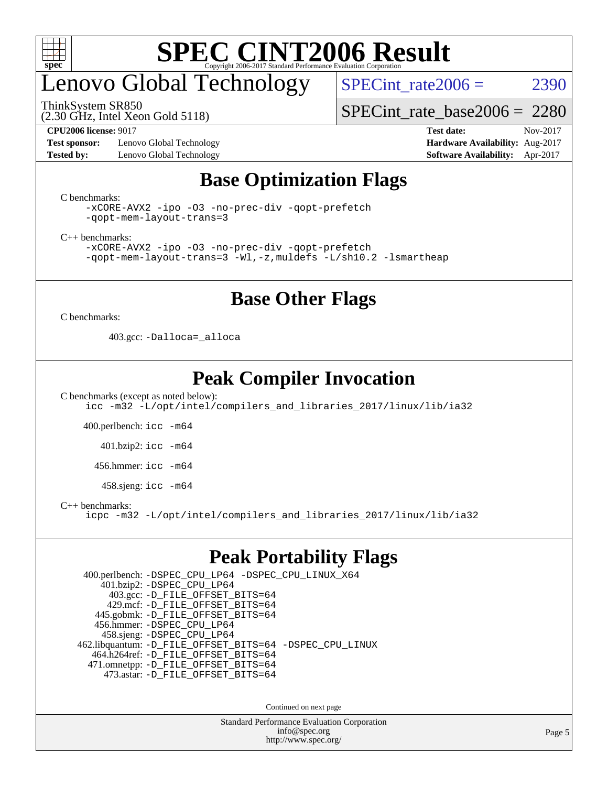

# enovo Global Technology

SPECint rate $2006 = 2390$ 

[SPECint\\_rate\\_base2006 =](http://www.spec.org/auto/cpu2006/Docs/result-fields.html#SPECintratebase2006) 2280

(2.30 GHz, Intel Xeon Gold 5118)

ThinkSystem SR850

**[Test sponsor:](http://www.spec.org/auto/cpu2006/Docs/result-fields.html#Testsponsor)** Lenovo Global Technology **[Hardware Availability:](http://www.spec.org/auto/cpu2006/Docs/result-fields.html#HardwareAvailability)** Aug-2017 **[Tested by:](http://www.spec.org/auto/cpu2006/Docs/result-fields.html#Testedby)** Lenovo Global Technology **[Software Availability:](http://www.spec.org/auto/cpu2006/Docs/result-fields.html#SoftwareAvailability)** Apr-2017

**[CPU2006 license:](http://www.spec.org/auto/cpu2006/Docs/result-fields.html#CPU2006license)** 9017 **[Test date:](http://www.spec.org/auto/cpu2006/Docs/result-fields.html#Testdate)** Nov-2017

### **[Base Optimization Flags](http://www.spec.org/auto/cpu2006/Docs/result-fields.html#BaseOptimizationFlags)**

[C benchmarks](http://www.spec.org/auto/cpu2006/Docs/result-fields.html#Cbenchmarks):

[-xCORE-AVX2](http://www.spec.org/cpu2006/results/res2017q4/cpu2006-20171211-51093.flags.html#user_CCbase_f-xCORE-AVX2) [-ipo](http://www.spec.org/cpu2006/results/res2017q4/cpu2006-20171211-51093.flags.html#user_CCbase_f-ipo) [-O3](http://www.spec.org/cpu2006/results/res2017q4/cpu2006-20171211-51093.flags.html#user_CCbase_f-O3) [-no-prec-div](http://www.spec.org/cpu2006/results/res2017q4/cpu2006-20171211-51093.flags.html#user_CCbase_f-no-prec-div) [-qopt-prefetch](http://www.spec.org/cpu2006/results/res2017q4/cpu2006-20171211-51093.flags.html#user_CCbase_f-qopt-prefetch) [-qopt-mem-layout-trans=3](http://www.spec.org/cpu2006/results/res2017q4/cpu2006-20171211-51093.flags.html#user_CCbase_f-qopt-mem-layout-trans_170f5be61cd2cedc9b54468c59262d5d)

[C++ benchmarks:](http://www.spec.org/auto/cpu2006/Docs/result-fields.html#CXXbenchmarks)

[-xCORE-AVX2](http://www.spec.org/cpu2006/results/res2017q4/cpu2006-20171211-51093.flags.html#user_CXXbase_f-xCORE-AVX2) [-ipo](http://www.spec.org/cpu2006/results/res2017q4/cpu2006-20171211-51093.flags.html#user_CXXbase_f-ipo) [-O3](http://www.spec.org/cpu2006/results/res2017q4/cpu2006-20171211-51093.flags.html#user_CXXbase_f-O3) [-no-prec-div](http://www.spec.org/cpu2006/results/res2017q4/cpu2006-20171211-51093.flags.html#user_CXXbase_f-no-prec-div) [-qopt-prefetch](http://www.spec.org/cpu2006/results/res2017q4/cpu2006-20171211-51093.flags.html#user_CXXbase_f-qopt-prefetch) [-qopt-mem-layout-trans=3](http://www.spec.org/cpu2006/results/res2017q4/cpu2006-20171211-51093.flags.html#user_CXXbase_f-qopt-mem-layout-trans_170f5be61cd2cedc9b54468c59262d5d) [-Wl,-z,muldefs](http://www.spec.org/cpu2006/results/res2017q4/cpu2006-20171211-51093.flags.html#user_CXXbase_link_force_multiple1_74079c344b956b9658436fd1b6dd3a8a) [-L/sh10.2 -lsmartheap](http://www.spec.org/cpu2006/results/res2017q4/cpu2006-20171211-51093.flags.html#user_CXXbase_SmartHeap_b831f2d313e2fffa6dfe3f00ffc1f1c0)

### **[Base Other Flags](http://www.spec.org/auto/cpu2006/Docs/result-fields.html#BaseOtherFlags)**

[C benchmarks](http://www.spec.org/auto/cpu2006/Docs/result-fields.html#Cbenchmarks):

403.gcc: [-Dalloca=\\_alloca](http://www.spec.org/cpu2006/results/res2017q4/cpu2006-20171211-51093.flags.html#b403.gcc_baseEXTRA_CFLAGS_Dalloca_be3056838c12de2578596ca5467af7f3)

### **[Peak Compiler Invocation](http://www.spec.org/auto/cpu2006/Docs/result-fields.html#PeakCompilerInvocation)**

[C benchmarks \(except as noted below\)](http://www.spec.org/auto/cpu2006/Docs/result-fields.html#Cbenchmarksexceptasnotedbelow): [icc -m32 -L/opt/intel/compilers\\_and\\_libraries\\_2017/linux/lib/ia32](http://www.spec.org/cpu2006/results/res2017q4/cpu2006-20171211-51093.flags.html#user_CCpeak_intel_icc_c29f3ff5a7ed067b11e4ec10a03f03ae)

400.perlbench: [icc -m64](http://www.spec.org/cpu2006/results/res2017q4/cpu2006-20171211-51093.flags.html#user_peakCCLD400_perlbench_intel_icc_64bit_bda6cc9af1fdbb0edc3795bac97ada53)

401.bzip2: [icc -m64](http://www.spec.org/cpu2006/results/res2017q4/cpu2006-20171211-51093.flags.html#user_peakCCLD401_bzip2_intel_icc_64bit_bda6cc9af1fdbb0edc3795bac97ada53)

456.hmmer: [icc -m64](http://www.spec.org/cpu2006/results/res2017q4/cpu2006-20171211-51093.flags.html#user_peakCCLD456_hmmer_intel_icc_64bit_bda6cc9af1fdbb0edc3795bac97ada53)

458.sjeng: [icc -m64](http://www.spec.org/cpu2006/results/res2017q4/cpu2006-20171211-51093.flags.html#user_peakCCLD458_sjeng_intel_icc_64bit_bda6cc9af1fdbb0edc3795bac97ada53)

[C++ benchmarks:](http://www.spec.org/auto/cpu2006/Docs/result-fields.html#CXXbenchmarks)

[icpc -m32 -L/opt/intel/compilers\\_and\\_libraries\\_2017/linux/lib/ia32](http://www.spec.org/cpu2006/results/res2017q4/cpu2006-20171211-51093.flags.html#user_CXXpeak_intel_icpc_8c35c7808b62dab9ae41a1aa06361b6b)

### **[Peak Portability Flags](http://www.spec.org/auto/cpu2006/Docs/result-fields.html#PeakPortabilityFlags)**

 400.perlbench: [-DSPEC\\_CPU\\_LP64](http://www.spec.org/cpu2006/results/res2017q4/cpu2006-20171211-51093.flags.html#b400.perlbench_peakCPORTABILITY_DSPEC_CPU_LP64) [-DSPEC\\_CPU\\_LINUX\\_X64](http://www.spec.org/cpu2006/results/res2017q4/cpu2006-20171211-51093.flags.html#b400.perlbench_peakCPORTABILITY_DSPEC_CPU_LINUX_X64) 401.bzip2: [-DSPEC\\_CPU\\_LP64](http://www.spec.org/cpu2006/results/res2017q4/cpu2006-20171211-51093.flags.html#suite_peakCPORTABILITY401_bzip2_DSPEC_CPU_LP64) 403.gcc: [-D\\_FILE\\_OFFSET\\_BITS=64](http://www.spec.org/cpu2006/results/res2017q4/cpu2006-20171211-51093.flags.html#user_peakPORTABILITY403_gcc_file_offset_bits_64_438cf9856305ebd76870a2c6dc2689ab) 429.mcf: [-D\\_FILE\\_OFFSET\\_BITS=64](http://www.spec.org/cpu2006/results/res2017q4/cpu2006-20171211-51093.flags.html#user_peakPORTABILITY429_mcf_file_offset_bits_64_438cf9856305ebd76870a2c6dc2689ab) 445.gobmk: [-D\\_FILE\\_OFFSET\\_BITS=64](http://www.spec.org/cpu2006/results/res2017q4/cpu2006-20171211-51093.flags.html#user_peakPORTABILITY445_gobmk_file_offset_bits_64_438cf9856305ebd76870a2c6dc2689ab) 456.hmmer: [-DSPEC\\_CPU\\_LP64](http://www.spec.org/cpu2006/results/res2017q4/cpu2006-20171211-51093.flags.html#suite_peakCPORTABILITY456_hmmer_DSPEC_CPU_LP64) 458.sjeng: [-DSPEC\\_CPU\\_LP64](http://www.spec.org/cpu2006/results/res2017q4/cpu2006-20171211-51093.flags.html#suite_peakCPORTABILITY458_sjeng_DSPEC_CPU_LP64) 462.libquantum: [-D\\_FILE\\_OFFSET\\_BITS=64](http://www.spec.org/cpu2006/results/res2017q4/cpu2006-20171211-51093.flags.html#user_peakPORTABILITY462_libquantum_file_offset_bits_64_438cf9856305ebd76870a2c6dc2689ab) [-DSPEC\\_CPU\\_LINUX](http://www.spec.org/cpu2006/results/res2017q4/cpu2006-20171211-51093.flags.html#b462.libquantum_peakCPORTABILITY_DSPEC_CPU_LINUX) 464.h264ref: [-D\\_FILE\\_OFFSET\\_BITS=64](http://www.spec.org/cpu2006/results/res2017q4/cpu2006-20171211-51093.flags.html#user_peakPORTABILITY464_h264ref_file_offset_bits_64_438cf9856305ebd76870a2c6dc2689ab) 471.omnetpp: [-D\\_FILE\\_OFFSET\\_BITS=64](http://www.spec.org/cpu2006/results/res2017q4/cpu2006-20171211-51093.flags.html#user_peakPORTABILITY471_omnetpp_file_offset_bits_64_438cf9856305ebd76870a2c6dc2689ab) 473.astar: [-D\\_FILE\\_OFFSET\\_BITS=64](http://www.spec.org/cpu2006/results/res2017q4/cpu2006-20171211-51093.flags.html#user_peakPORTABILITY473_astar_file_offset_bits_64_438cf9856305ebd76870a2c6dc2689ab)

Continued on next page

Standard Performance Evaluation Corporation [info@spec.org](mailto:info@spec.org) <http://www.spec.org/>

Page 5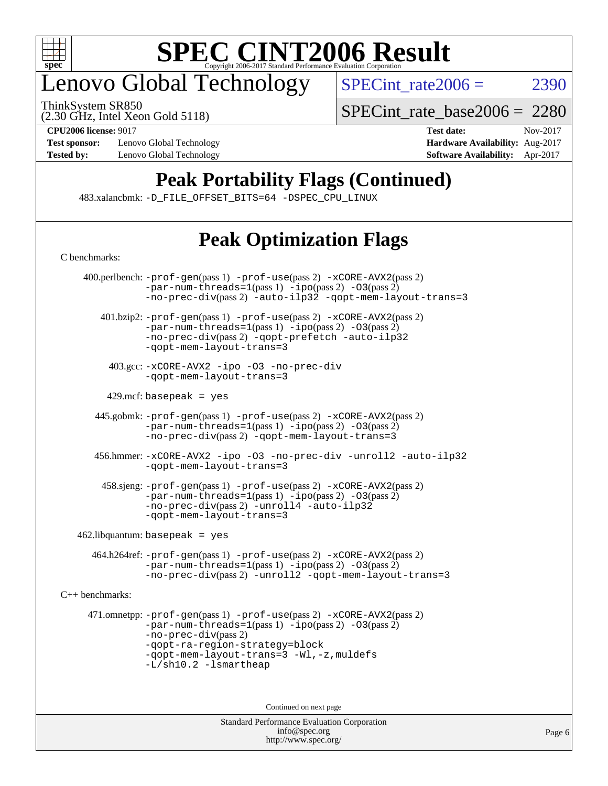

# enovo Global Technology

ThinkSystem SR850

SPECint rate $2006 = 2390$ 

(2.30 GHz, Intel Xeon Gold 5118)

**[Test sponsor:](http://www.spec.org/auto/cpu2006/Docs/result-fields.html#Testsponsor)** Lenovo Global Technology **[Hardware Availability:](http://www.spec.org/auto/cpu2006/Docs/result-fields.html#HardwareAvailability)** Aug-2017

[SPECint\\_rate\\_base2006 =](http://www.spec.org/auto/cpu2006/Docs/result-fields.html#SPECintratebase2006) 2280

**[CPU2006 license:](http://www.spec.org/auto/cpu2006/Docs/result-fields.html#CPU2006license)** 9017 **[Test date:](http://www.spec.org/auto/cpu2006/Docs/result-fields.html#Testdate)** Nov-2017 **[Tested by:](http://www.spec.org/auto/cpu2006/Docs/result-fields.html#Testedby)** Lenovo Global Technology **[Software Availability:](http://www.spec.org/auto/cpu2006/Docs/result-fields.html#SoftwareAvailability)** Apr-2017

# **[Peak Portability Flags \(Continued\)](http://www.spec.org/auto/cpu2006/Docs/result-fields.html#PeakPortabilityFlags)**

483.xalancbmk: [-D\\_FILE\\_OFFSET\\_BITS=64](http://www.spec.org/cpu2006/results/res2017q4/cpu2006-20171211-51093.flags.html#user_peakPORTABILITY483_xalancbmk_file_offset_bits_64_438cf9856305ebd76870a2c6dc2689ab) [-DSPEC\\_CPU\\_LINUX](http://www.spec.org/cpu2006/results/res2017q4/cpu2006-20171211-51093.flags.html#b483.xalancbmk_peakCXXPORTABILITY_DSPEC_CPU_LINUX)

# **[Peak Optimization Flags](http://www.spec.org/auto/cpu2006/Docs/result-fields.html#PeakOptimizationFlags)**

[C benchmarks](http://www.spec.org/auto/cpu2006/Docs/result-fields.html#Cbenchmarks): 400.perlbench: [-prof-gen](http://www.spec.org/cpu2006/results/res2017q4/cpu2006-20171211-51093.flags.html#user_peakPASS1_CFLAGSPASS1_LDCFLAGS400_perlbench_prof_gen_e43856698f6ca7b7e442dfd80e94a8fc)(pass 1) [-prof-use](http://www.spec.org/cpu2006/results/res2017q4/cpu2006-20171211-51093.flags.html#user_peakPASS2_CFLAGSPASS2_LDCFLAGS400_perlbench_prof_use_bccf7792157ff70d64e32fe3e1250b55)(pass 2) [-xCORE-AVX2](http://www.spec.org/cpu2006/results/res2017q4/cpu2006-20171211-51093.flags.html#user_peakPASS2_CFLAGSPASS2_LDCFLAGS400_perlbench_f-xCORE-AVX2)(pass 2)  $-par-num-threads=1(pass 1) -ipo(pass 2) -O3(pass 2)$  $-par-num-threads=1(pass 1) -ipo(pass 2) -O3(pass 2)$  $-par-num-threads=1(pass 1) -ipo(pass 2) -O3(pass 2)$  $-par-num-threads=1(pass 1) -ipo(pass 2) -O3(pass 2)$  $-par-num-threads=1(pass 1) -ipo(pass 2) -O3(pass 2)$  $-par-num-threads=1(pass 1) -ipo(pass 2) -O3(pass 2)$ [-no-prec-div](http://www.spec.org/cpu2006/results/res2017q4/cpu2006-20171211-51093.flags.html#user_peakPASS2_CFLAGSPASS2_LDCFLAGS400_perlbench_f-no-prec-div)(pass 2) [-auto-ilp32](http://www.spec.org/cpu2006/results/res2017q4/cpu2006-20171211-51093.flags.html#user_peakCOPTIMIZE400_perlbench_f-auto-ilp32) [-qopt-mem-layout-trans=3](http://www.spec.org/cpu2006/results/res2017q4/cpu2006-20171211-51093.flags.html#user_peakCOPTIMIZE400_perlbench_f-qopt-mem-layout-trans_170f5be61cd2cedc9b54468c59262d5d) 401.bzip2: [-prof-gen](http://www.spec.org/cpu2006/results/res2017q4/cpu2006-20171211-51093.flags.html#user_peakPASS1_CFLAGSPASS1_LDCFLAGS401_bzip2_prof_gen_e43856698f6ca7b7e442dfd80e94a8fc)(pass 1) [-prof-use](http://www.spec.org/cpu2006/results/res2017q4/cpu2006-20171211-51093.flags.html#user_peakPASS2_CFLAGSPASS2_LDCFLAGS401_bzip2_prof_use_bccf7792157ff70d64e32fe3e1250b55)(pass 2) [-xCORE-AVX2](http://www.spec.org/cpu2006/results/res2017q4/cpu2006-20171211-51093.flags.html#user_peakPASS2_CFLAGSPASS2_LDCFLAGS401_bzip2_f-xCORE-AVX2)(pass 2) [-par-num-threads=1](http://www.spec.org/cpu2006/results/res2017q4/cpu2006-20171211-51093.flags.html#user_peakPASS1_CFLAGSPASS1_LDCFLAGS401_bzip2_par_num_threads_786a6ff141b4e9e90432e998842df6c2)(pass 1) [-ipo](http://www.spec.org/cpu2006/results/res2017q4/cpu2006-20171211-51093.flags.html#user_peakPASS2_CFLAGSPASS2_LDCFLAGS401_bzip2_f-ipo)(pass 2) [-O3](http://www.spec.org/cpu2006/results/res2017q4/cpu2006-20171211-51093.flags.html#user_peakPASS2_CFLAGSPASS2_LDCFLAGS401_bzip2_f-O3)(pass 2) [-no-prec-div](http://www.spec.org/cpu2006/results/res2017q4/cpu2006-20171211-51093.flags.html#user_peakPASS2_CFLAGSPASS2_LDCFLAGS401_bzip2_f-no-prec-div)(pass 2) [-qopt-prefetch](http://www.spec.org/cpu2006/results/res2017q4/cpu2006-20171211-51093.flags.html#user_peakCOPTIMIZE401_bzip2_f-qopt-prefetch) [-auto-ilp32](http://www.spec.org/cpu2006/results/res2017q4/cpu2006-20171211-51093.flags.html#user_peakCOPTIMIZE401_bzip2_f-auto-ilp32) [-qopt-mem-layout-trans=3](http://www.spec.org/cpu2006/results/res2017q4/cpu2006-20171211-51093.flags.html#user_peakCOPTIMIZE401_bzip2_f-qopt-mem-layout-trans_170f5be61cd2cedc9b54468c59262d5d) 403.gcc: [-xCORE-AVX2](http://www.spec.org/cpu2006/results/res2017q4/cpu2006-20171211-51093.flags.html#user_peakOPTIMIZE403_gcc_f-xCORE-AVX2) [-ipo](http://www.spec.org/cpu2006/results/res2017q4/cpu2006-20171211-51093.flags.html#user_peakOPTIMIZE403_gcc_f-ipo) [-O3](http://www.spec.org/cpu2006/results/res2017q4/cpu2006-20171211-51093.flags.html#user_peakOPTIMIZE403_gcc_f-O3) [-no-prec-div](http://www.spec.org/cpu2006/results/res2017q4/cpu2006-20171211-51093.flags.html#user_peakOPTIMIZE403_gcc_f-no-prec-div) [-qopt-mem-layout-trans=3](http://www.spec.org/cpu2006/results/res2017q4/cpu2006-20171211-51093.flags.html#user_peakCOPTIMIZE403_gcc_f-qopt-mem-layout-trans_170f5be61cd2cedc9b54468c59262d5d)  $429$ .mcf: basepeak = yes 445.gobmk: [-prof-gen](http://www.spec.org/cpu2006/results/res2017q4/cpu2006-20171211-51093.flags.html#user_peakPASS1_CFLAGSPASS1_LDCFLAGS445_gobmk_prof_gen_e43856698f6ca7b7e442dfd80e94a8fc)(pass 1) [-prof-use](http://www.spec.org/cpu2006/results/res2017q4/cpu2006-20171211-51093.flags.html#user_peakPASS2_CFLAGSPASS2_LDCFLAGSPASS2_LDFLAGS445_gobmk_prof_use_bccf7792157ff70d64e32fe3e1250b55)(pass 2) [-xCORE-AVX2](http://www.spec.org/cpu2006/results/res2017q4/cpu2006-20171211-51093.flags.html#user_peakPASS2_CFLAGSPASS2_LDCFLAGSPASS2_LDFLAGS445_gobmk_f-xCORE-AVX2)(pass 2)  $-par-num-threads=1(pass 1) -ipo(pass 2) -O3(pass 2)$  $-par-num-threads=1(pass 1) -ipo(pass 2) -O3(pass 2)$  $-par-num-threads=1(pass 1) -ipo(pass 2) -O3(pass 2)$  $-par-num-threads=1(pass 1) -ipo(pass 2) -O3(pass 2)$  $-par-num-threads=1(pass 1) -ipo(pass 2) -O3(pass 2)$  $-par-num-threads=1(pass 1) -ipo(pass 2) -O3(pass 2)$ [-no-prec-div](http://www.spec.org/cpu2006/results/res2017q4/cpu2006-20171211-51093.flags.html#user_peakPASS2_LDCFLAGS445_gobmk_f-no-prec-div)(pass 2) [-qopt-mem-layout-trans=3](http://www.spec.org/cpu2006/results/res2017q4/cpu2006-20171211-51093.flags.html#user_peakCOPTIMIZE445_gobmk_f-qopt-mem-layout-trans_170f5be61cd2cedc9b54468c59262d5d) 456.hmmer: [-xCORE-AVX2](http://www.spec.org/cpu2006/results/res2017q4/cpu2006-20171211-51093.flags.html#user_peakOPTIMIZE456_hmmer_f-xCORE-AVX2) [-ipo](http://www.spec.org/cpu2006/results/res2017q4/cpu2006-20171211-51093.flags.html#user_peakOPTIMIZE456_hmmer_f-ipo) [-O3](http://www.spec.org/cpu2006/results/res2017q4/cpu2006-20171211-51093.flags.html#user_peakOPTIMIZE456_hmmer_f-O3) [-no-prec-div](http://www.spec.org/cpu2006/results/res2017q4/cpu2006-20171211-51093.flags.html#user_peakOPTIMIZE456_hmmer_f-no-prec-div) [-unroll2](http://www.spec.org/cpu2006/results/res2017q4/cpu2006-20171211-51093.flags.html#user_peakCOPTIMIZE456_hmmer_f-unroll_784dae83bebfb236979b41d2422d7ec2) [-auto-ilp32](http://www.spec.org/cpu2006/results/res2017q4/cpu2006-20171211-51093.flags.html#user_peakCOPTIMIZE456_hmmer_f-auto-ilp32) [-qopt-mem-layout-trans=3](http://www.spec.org/cpu2006/results/res2017q4/cpu2006-20171211-51093.flags.html#user_peakCOPTIMIZE456_hmmer_f-qopt-mem-layout-trans_170f5be61cd2cedc9b54468c59262d5d) 458.sjeng: [-prof-gen](http://www.spec.org/cpu2006/results/res2017q4/cpu2006-20171211-51093.flags.html#user_peakPASS1_CFLAGSPASS1_LDCFLAGS458_sjeng_prof_gen_e43856698f6ca7b7e442dfd80e94a8fc)(pass 1) [-prof-use](http://www.spec.org/cpu2006/results/res2017q4/cpu2006-20171211-51093.flags.html#user_peakPASS2_CFLAGSPASS2_LDCFLAGS458_sjeng_prof_use_bccf7792157ff70d64e32fe3e1250b55)(pass 2) [-xCORE-AVX2](http://www.spec.org/cpu2006/results/res2017q4/cpu2006-20171211-51093.flags.html#user_peakPASS2_CFLAGSPASS2_LDCFLAGS458_sjeng_f-xCORE-AVX2)(pass 2)  $-par-num-threads=1(pass 1) -ipo(pass 2) -O3(pass 2)$  $-par-num-threads=1(pass 1) -ipo(pass 2) -O3(pass 2)$  $-par-num-threads=1(pass 1) -ipo(pass 2) -O3(pass 2)$  $-par-num-threads=1(pass 1) -ipo(pass 2) -O3(pass 2)$  $-par-num-threads=1(pass 1) -ipo(pass 2) -O3(pass 2)$  $-par-num-threads=1(pass 1) -ipo(pass 2) -O3(pass 2)$ [-no-prec-div](http://www.spec.org/cpu2006/results/res2017q4/cpu2006-20171211-51093.flags.html#user_peakPASS2_CFLAGSPASS2_LDCFLAGS458_sjeng_f-no-prec-div)(pass 2) [-unroll4](http://www.spec.org/cpu2006/results/res2017q4/cpu2006-20171211-51093.flags.html#user_peakCOPTIMIZE458_sjeng_f-unroll_4e5e4ed65b7fd20bdcd365bec371b81f) [-auto-ilp32](http://www.spec.org/cpu2006/results/res2017q4/cpu2006-20171211-51093.flags.html#user_peakCOPTIMIZE458_sjeng_f-auto-ilp32) [-qopt-mem-layout-trans=3](http://www.spec.org/cpu2006/results/res2017q4/cpu2006-20171211-51093.flags.html#user_peakCOPTIMIZE458_sjeng_f-qopt-mem-layout-trans_170f5be61cd2cedc9b54468c59262d5d)  $462$ .libquantum: basepeak = yes 464.h264ref: [-prof-gen](http://www.spec.org/cpu2006/results/res2017q4/cpu2006-20171211-51093.flags.html#user_peakPASS1_CFLAGSPASS1_LDCFLAGS464_h264ref_prof_gen_e43856698f6ca7b7e442dfd80e94a8fc)(pass 1) [-prof-use](http://www.spec.org/cpu2006/results/res2017q4/cpu2006-20171211-51093.flags.html#user_peakPASS2_CFLAGSPASS2_LDCFLAGS464_h264ref_prof_use_bccf7792157ff70d64e32fe3e1250b55)(pass 2) [-xCORE-AVX2](http://www.spec.org/cpu2006/results/res2017q4/cpu2006-20171211-51093.flags.html#user_peakPASS2_CFLAGSPASS2_LDCFLAGS464_h264ref_f-xCORE-AVX2)(pass 2)  $-$ par-num-threads=1(pass 1)  $-$ ipo(pass 2)  $-$ O3(pass 2) [-no-prec-div](http://www.spec.org/cpu2006/results/res2017q4/cpu2006-20171211-51093.flags.html#user_peakPASS2_CFLAGSPASS2_LDCFLAGS464_h264ref_f-no-prec-div)(pass 2) [-unroll2](http://www.spec.org/cpu2006/results/res2017q4/cpu2006-20171211-51093.flags.html#user_peakCOPTIMIZE464_h264ref_f-unroll_784dae83bebfb236979b41d2422d7ec2) [-qopt-mem-layout-trans=3](http://www.spec.org/cpu2006/results/res2017q4/cpu2006-20171211-51093.flags.html#user_peakCOPTIMIZE464_h264ref_f-qopt-mem-layout-trans_170f5be61cd2cedc9b54468c59262d5d) [C++ benchmarks:](http://www.spec.org/auto/cpu2006/Docs/result-fields.html#CXXbenchmarks) 471.omnetpp: [-prof-gen](http://www.spec.org/cpu2006/results/res2017q4/cpu2006-20171211-51093.flags.html#user_peakPASS1_CXXFLAGSPASS1_LDCXXFLAGS471_omnetpp_prof_gen_e43856698f6ca7b7e442dfd80e94a8fc)(pass 1) [-prof-use](http://www.spec.org/cpu2006/results/res2017q4/cpu2006-20171211-51093.flags.html#user_peakPASS2_CXXFLAGSPASS2_LDCXXFLAGS471_omnetpp_prof_use_bccf7792157ff70d64e32fe3e1250b55)(pass 2) [-xCORE-AVX2](http://www.spec.org/cpu2006/results/res2017q4/cpu2006-20171211-51093.flags.html#user_peakPASS2_CXXFLAGSPASS2_LDCXXFLAGS471_omnetpp_f-xCORE-AVX2)(pass 2)  $-par-num-threads=1(pass 1) -ipo(pass 2) -O3(pass 2)$  $-par-num-threads=1(pass 1) -ipo(pass 2) -O3(pass 2)$  $-par-num-threads=1(pass 1) -ipo(pass 2) -O3(pass 2)$  $-par-num-threads=1(pass 1) -ipo(pass 2) -O3(pass 2)$  $-par-num-threads=1(pass 1) -ipo(pass 2) -O3(pass 2)$  $-par-num-threads=1(pass 1) -ipo(pass 2) -O3(pass 2)$ [-no-prec-div](http://www.spec.org/cpu2006/results/res2017q4/cpu2006-20171211-51093.flags.html#user_peakPASS2_CXXFLAGSPASS2_LDCXXFLAGS471_omnetpp_f-no-prec-div)(pass 2) [-qopt-ra-region-strategy=block](http://www.spec.org/cpu2006/results/res2017q4/cpu2006-20171211-51093.flags.html#user_peakCXXOPTIMIZE471_omnetpp_f-qopt-ra-region-strategy_430aa8f7c220cbde92ae827fa8d9be32)  [-qopt-mem-layout-trans=3](http://www.spec.org/cpu2006/results/res2017q4/cpu2006-20171211-51093.flags.html#user_peakCXXOPTIMIZE471_omnetpp_f-qopt-mem-layout-trans_170f5be61cd2cedc9b54468c59262d5d) [-Wl,-z,muldefs](http://www.spec.org/cpu2006/results/res2017q4/cpu2006-20171211-51093.flags.html#user_peakEXTRA_LDFLAGS471_omnetpp_link_force_multiple1_74079c344b956b9658436fd1b6dd3a8a) [-L/sh10.2 -lsmartheap](http://www.spec.org/cpu2006/results/res2017q4/cpu2006-20171211-51093.flags.html#user_peakEXTRA_LIBS471_omnetpp_SmartHeap_b831f2d313e2fffa6dfe3f00ffc1f1c0) Continued on next page

Standard Performance Evaluation Corporation [info@spec.org](mailto:info@spec.org) <http://www.spec.org/>